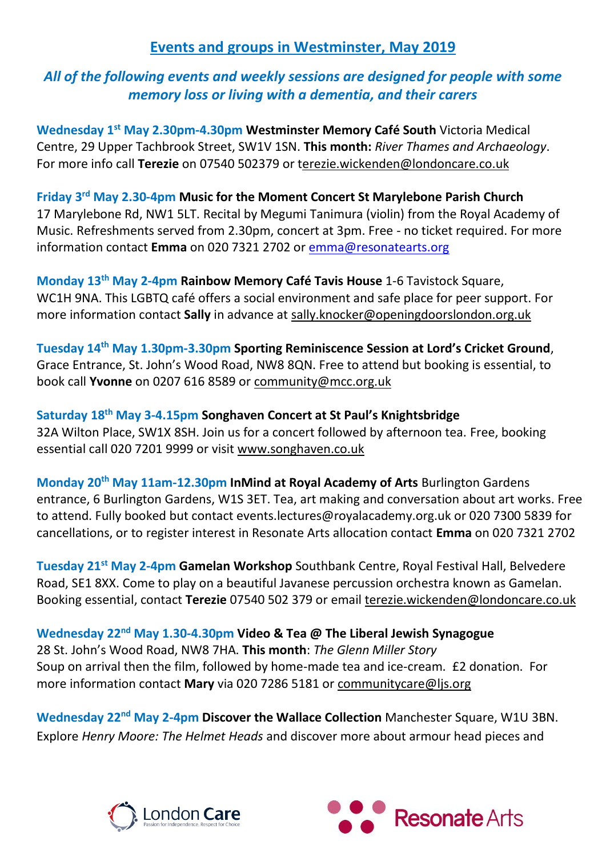## **Events and groups in Westminster, May 2019**

## *All of the following events and weekly sessions are designed for people with some memory loss or living with a dementia, and their carers*

**Wednesday 1st May 2.30pm-4.30pm Westminster Memory Café South** Victoria Medical Centre, 29 Upper Tachbrook Street, SW1V 1SN. **This month:** *River Thames and Archaeology*. For more info call **Terezie** on 07540 502379 or terezie.wickenden@londoncare.co.uk

Friday 3<sup>rd</sup> May 2.30-4pm Music for the Moment Concert St Marylebone Parish Church 17 Marylebone Rd, NW1 5LT. Recital by Megumi Tanimura (violin) from the Royal Academy of Music. Refreshments served from 2.30pm, concert at 3pm. Free - no ticket required. For more information contact **Emma** on 020 7321 2702 or [emma@resonatearts.org](mailto:emma@resonatearts.org)

**Monday 13th May 2-4pm Rainbow Memory Café Tavis House** 1-6 Tavistock Square, WC1H 9NA. This LGBTQ café offers a social environment and safe place for peer support. For more information contact **Sally** in advance at [sally.knocker@openingdoorslondon.org.uk](mailto:sally.knocker@openingdoorslondon.org.uk)

**Tuesday 14th May 1.30pm-3.30pm Sporting Reminiscence Session at Lord's Cricket Ground**, Grace Entrance, St. John's Wood Road, NW8 8QN. Free to attend but booking is essential, to book call **Yvonne** on 0207 616 8589 or [community@mcc.org.uk](mailto:community@mcc.org.uk)

**Saturday 18th May 3-4.15pm Songhaven Concert at St Paul's Knightsbridge**  32A Wilton Place, SW1X 8SH. Join us for a concert followed by afternoon tea. Free, booking essential call 020 7201 9999 or visit [www.songhaven.co.uk](http://www.songhaven.co.uk/)

**Monday 20th May 11am-12.30pm InMind at Royal Academy of Arts** Burlington Gardens entrance, 6 Burlington Gardens, W1S 3ET. Tea, art making and conversation about art works. Free to attend. Fully booked but contact events.lectures@royalacademy.org.uk or 020 7300 5839 for cancellations, or to register interest in Resonate Arts allocation contact **Emma** on 020 7321 2702

**Tuesday 21st May 2-4pm Gamelan Workshop** Southbank Centre, Royal Festival Hall, Belvedere Road, SE1 8XX. Come to play on a beautiful Javanese percussion orchestra known as Gamelan. Booking essential, contact **Terezie** 07540 502 379 or email [terezie.wickenden@londoncare.co.uk](mailto:terezie.wickenden@londoncare.co.uk)

**Wednesday 22nd May 1.30-4.30pm Video & Tea @ The Liberal Jewish Synagogue** 28 St. John's Wood Road, NW8 7HA. **This month**: *The Glenn Miller Story* Soup on arrival then the film, followed by home-made tea and ice-cream. £2 donation. For more information contact **Mary** via 020 7286 5181 or [communitycare@ljs.org](mailto:communitycare@ljs.org)

**Wednesday 22nd May 2-4pm Discover the Wallace Collection** Manchester Square, W1U 3BN. Explore *Henry Moore: The Helmet Heads* and discover more about armour head pieces and